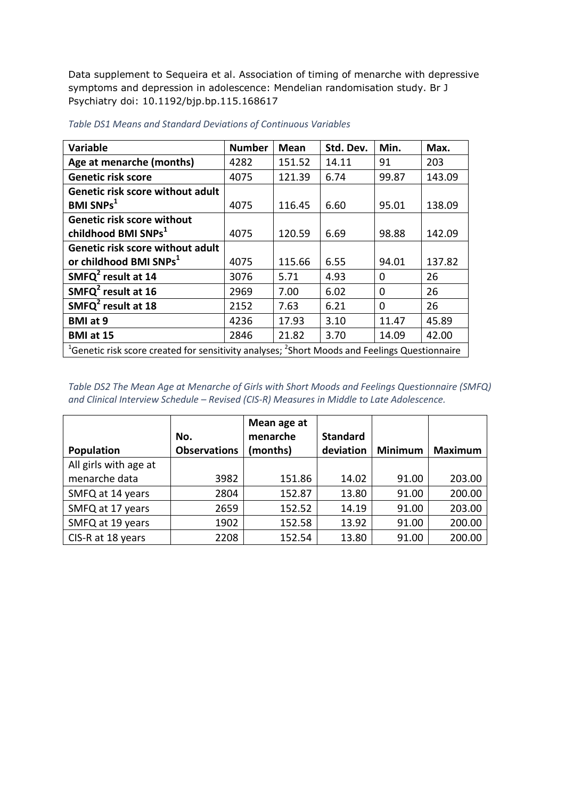Data supplement to Sequeira et al. Association of timing of menarche with depressive symptoms and depression in adolescence: Mendelian randomisation study. Br J Psychiatry doi: 10.1192/bjp.bp.115.168617

| Variable                                                                                                              | <b>Number</b> | <b>Mean</b> | Std. Dev. | Min.     | Max.   |  |
|-----------------------------------------------------------------------------------------------------------------------|---------------|-------------|-----------|----------|--------|--|
| Age at menarche (months)                                                                                              | 4282          | 151.52      | 14.11     | 91       | 203    |  |
| <b>Genetic risk score</b>                                                                                             | 4075          | 121.39      | 6.74      | 99.87    | 143.09 |  |
| Genetic risk score without adult                                                                                      |               |             |           |          |        |  |
| <b>BMI SNPs<sup>1</sup></b>                                                                                           | 4075          | 116.45      | 6.60      | 95.01    | 138.09 |  |
| <b>Genetic risk score without</b>                                                                                     |               |             |           |          |        |  |
| childhood BMI SNPs <sup>1</sup>                                                                                       | 4075          | 120.59      | 6.69      | 98.88    | 142.09 |  |
| Genetic risk score without adult                                                                                      |               |             |           |          |        |  |
| or childhood BMI SNPs <sup>1</sup>                                                                                    | 4075          | 115.66      | 6.55      | 94.01    | 137.82 |  |
| SMFQ $^2$ result at 14                                                                                                | 3076          | 5.71        | 4.93      | $\Omega$ | 26     |  |
| SMFQ $2$ result at 16                                                                                                 | 2969          | 7.00        | 6.02      | $\Omega$ | 26     |  |
| SMFQ <sup>2</sup> result at 18                                                                                        | 2152          | 7.63        | 6.21      | $\Omega$ | 26     |  |
| <b>BMI</b> at 9                                                                                                       | 4236          | 17.93       | 3.10      | 11.47    | 45.89  |  |
| BMI at 15                                                                                                             | 2846          | 21.82       | 3.70      | 14.09    | 42.00  |  |
| <sup>1</sup> Genetic risk score created for sensitivity analyses; <sup>2</sup> Short Moods and Feelings Questionnaire |               |             |           |          |        |  |

*Table DS1 Means and Standard Deviations of Continuous Variables*

*Table DS2 The Mean Age at Menarche of Girls with Short Moods and Feelings Questionnaire (SMFQ) and Clinical Interview Schedule – Revised (CIS-R) Measures in Middle to Late Adolescence.* 

| Population            | No.<br><b>Observations</b> | Mean age at<br>menarche<br>(months) | <b>Standard</b><br>deviation | <b>Minimum</b> | <b>Maximum</b> |
|-----------------------|----------------------------|-------------------------------------|------------------------------|----------------|----------------|
| All girls with age at |                            |                                     |                              |                |                |
| menarche data         | 3982                       | 151.86                              | 14.02                        | 91.00          | 203.00         |
| SMFQ at 14 years      | 2804                       | 152.87                              | 13.80                        | 91.00          | 200.00         |
| SMFQ at 17 years      | 2659                       | 152.52                              | 14.19                        | 91.00          | 203.00         |
| SMFQ at 19 years      | 1902                       | 152.58                              | 13.92                        | 91.00          | 200.00         |
| CIS-R at 18 years     | 2208                       | 152.54                              | 13.80                        | 91.00          | 200.00         |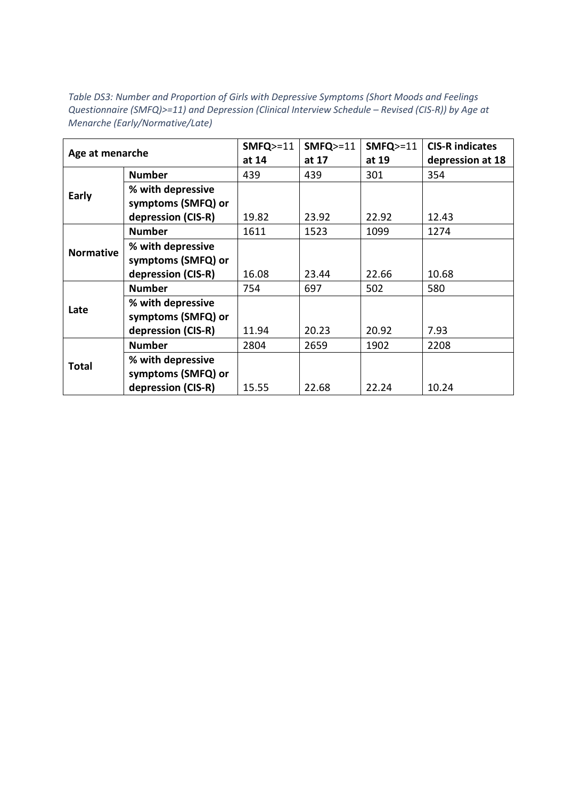*Table DS3: Number and Proportion of Girls with Depressive Symptoms (Short Moods and Feelings Questionnaire (SMFQ)>=11) and Depression (Clinical Interview Schedule – Revised (CIS-R)) by Age at Menarche (Early/Normative/Late)*

| Age at menarche  |                    | $SMFQ>=11$ | $SMFQ>=11$ | $SMFQ>=11$ | <b>CIS-R indicates</b> |
|------------------|--------------------|------------|------------|------------|------------------------|
|                  |                    | at 14      | at 17      | at 19      | depression at 18       |
|                  | <b>Number</b>      | 439        | 439        | 301        | 354                    |
| Early            | % with depressive  |            |            |            |                        |
|                  | symptoms (SMFQ) or |            |            |            |                        |
|                  | depression (CIS-R) | 19.82      | 23.92      | 22.92      | 12.43                  |
|                  | <b>Number</b>      | 1611       | 1523       | 1099       | 1274                   |
| <b>Normative</b> | % with depressive  |            |            |            |                        |
|                  | symptoms (SMFQ) or |            |            |            |                        |
|                  | depression (CIS-R) | 16.08      | 23.44      | 22.66      | 10.68                  |
|                  | <b>Number</b>      | 754        | 697        | 502        | 580                    |
|                  | % with depressive  |            |            |            |                        |
| Late             | symptoms (SMFQ) or |            |            |            |                        |
|                  | depression (CIS-R) | 11.94      | 20.23      | 20.92      | 7.93                   |
| <b>Total</b>     | <b>Number</b>      | 2804       | 2659       | 1902       | 2208                   |
|                  | % with depressive  |            |            |            |                        |
|                  | symptoms (SMFQ) or |            |            |            |                        |
|                  | depression (CIS-R) | 15.55      | 22.68      | 22.24      | 10.24                  |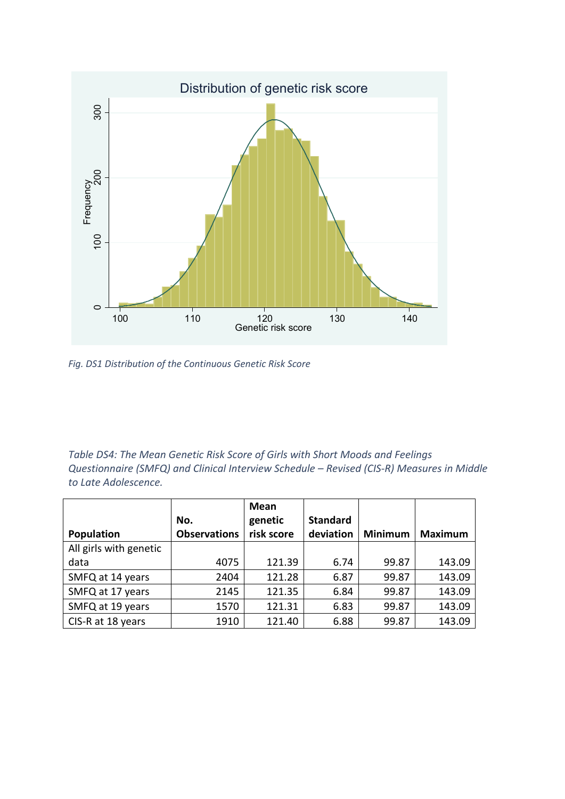

*Fig. DS1 Distribution of the Continuous Genetic Risk Score*

*Table DS4: The Mean Genetic Risk Score of Girls with Short Moods and Feelings Questionnaire (SMFQ) and Clinical Interview Schedule – Revised (CIS-R) Measures in Middle to Late Adolescence.*

|                        | No.                 | Mean<br>genetic | <b>Standard</b> |                |                |
|------------------------|---------------------|-----------------|-----------------|----------------|----------------|
| Population             | <b>Observations</b> | risk score      | deviation       | <b>Minimum</b> | <b>Maximum</b> |
| All girls with genetic |                     |                 |                 |                |                |
| data                   | 4075                | 121.39          | 6.74            | 99.87          | 143.09         |
| SMFQ at 14 years       | 2404                | 121.28          | 6.87            | 99.87          | 143.09         |
| SMFQ at 17 years       | 2145                | 121.35          | 6.84            | 99.87          | 143.09         |
| SMFQ at 19 years       | 1570                | 121.31          | 6.83            | 99.87          | 143.09         |
| CIS-R at 18 years      | 1910                | 121.40          | 6.88            | 99.87          | 143.09         |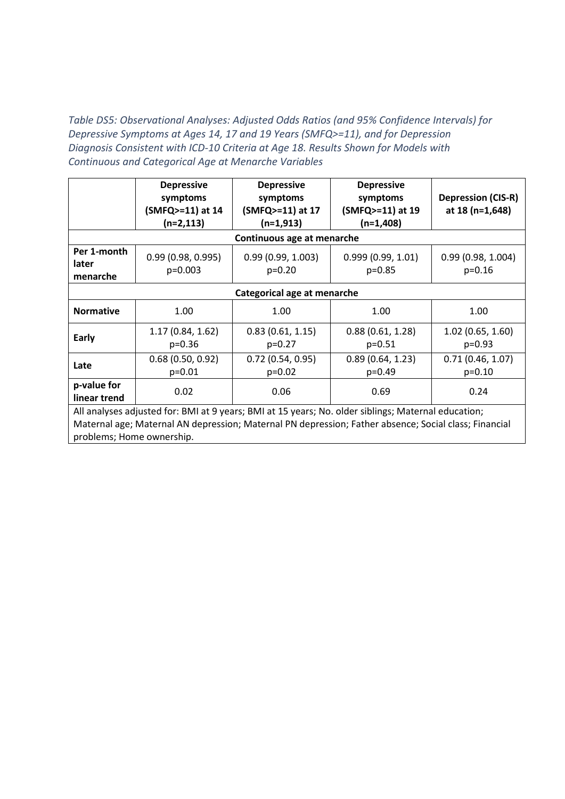*Table DS5: Observational Analyses: Adjusted Odds Ratios (and 95% Confidence Intervals) for Depressive Symptoms at Ages 14, 17 and 19 Years (SMFQ>=11), and for Depression Diagnosis Consistent with ICD-10 Criteria at Age 18. Results Shown for Models with Continuous and Categorical Age at Menarche Variables*

|                                                                                                       | <b>Depressive</b><br>symptoms  | <b>Depressive</b><br>symptoms | <b>Depressive</b><br>symptoms | <b>Depression (CIS-R)</b>     |  |  |  |
|-------------------------------------------------------------------------------------------------------|--------------------------------|-------------------------------|-------------------------------|-------------------------------|--|--|--|
|                                                                                                       | (SMFQ>=11) at 14               | (SMFQ>=11) at 17              | (SMFQ>=11) at 19              | at 18 (n=1,648)               |  |  |  |
|                                                                                                       | $(n=2,113)$                    | $(n=1,913)$                   | $(n=1,408)$                   |                               |  |  |  |
|                                                                                                       |                                | Continuous age at menarche    |                               |                               |  |  |  |
| Per 1-month<br>later                                                                                  | 0.99(0.98, 0.995)<br>$p=0.003$ | 0.99(0.99, 1.003)<br>$p=0.20$ | 0.999(0.99, 1.01)<br>$p=0.85$ | 0.99(0.98, 1.004)<br>$p=0.16$ |  |  |  |
| menarche                                                                                              |                                |                               |                               |                               |  |  |  |
| Categorical age at menarche                                                                           |                                |                               |                               |                               |  |  |  |
| <b>Normative</b>                                                                                      | 1.00                           | 1.00                          | 1.00                          | 1.00                          |  |  |  |
| <b>Early</b>                                                                                          | 1.17 (0.84, 1.62)<br>$p=0.36$  | 0.83(0.61, 1.15)<br>$p=0.27$  | 0.88(0.61, 1.28)<br>$p=0.51$  | 1.02(0.65, 1.60)<br>$p=0.93$  |  |  |  |
| Late                                                                                                  | 0.68(0.50, 0.92)<br>$p=0.01$   | 0.72(0.54, 0.95)<br>$p=0.02$  | 0.89(0.64, 1.23)<br>$p=0.49$  | 0.71(0.46, 1.07)<br>$p=0.10$  |  |  |  |
| p-value for<br>linear trend                                                                           | 0.02                           | 0.06                          | 0.69                          | 0.24                          |  |  |  |
| All analyses adjusted for: BMI at 9 years; BMI at 15 years; No. older siblings; Maternal education;   |                                |                               |                               |                               |  |  |  |
| Maternal age; Maternal AN depression; Maternal PN depression; Father absence; Social class; Financial |                                |                               |                               |                               |  |  |  |
| problems; Home ownership.                                                                             |                                |                               |                               |                               |  |  |  |